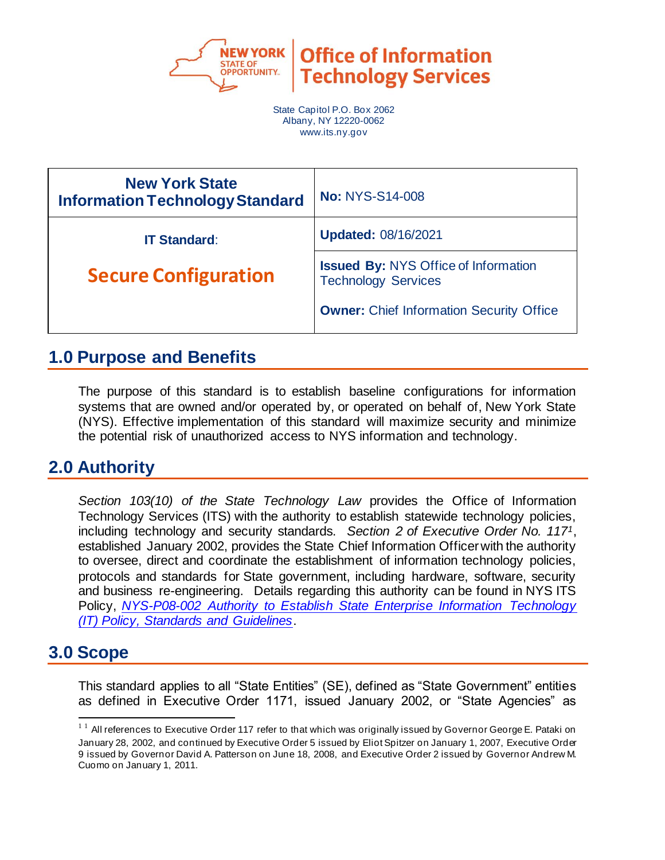

**Office of Information Technology Services** 

State Capitol P.O. Box 2062 Albany, NY 12220-0062 www.its.ny.gov

| <b>New York State</b><br><b>Information Technology Standard</b> | <b>No: NYS-S14-008</b>                                                    |  |
|-----------------------------------------------------------------|---------------------------------------------------------------------------|--|
| <b>IT Standard:</b>                                             | <b>Updated: 08/16/2021</b>                                                |  |
| <b>Secure Configuration</b>                                     | <b>Issued By: NYS Office of Information</b><br><b>Technology Services</b> |  |
|                                                                 | <b>Owner:</b> Chief Information Security Office                           |  |

## **1.0 Purpose and Benefits**

The purpose of this standard is to establish baseline configurations for information systems that are owned and/or operated by, or operated on behalf of, New York State (NYS). Effective implementation of this standard will maximize security and minimize the potential risk of unauthorized access to NYS information and technology.

# **2.0 Authority**

*Section 103(10) of the State Technology Law* provides the Office of Information Technology Services (ITS) with the authority to establish statewide technology policies, including technology and security standards. *Section 2 of Executive Order No. 1171*, established January 2002, provides the State Chief Information Officer with the authority to oversee, direct and coordinate the establishment of information technology policies, protocols and standards for State government, including hardware, software, security and business re-engineering. Details regarding this authority can be found in NYS ITS Policy, *[NYS-P08-002 Authority to Establish State Enterprise Information Technology](https://its.ny.gov/document/authority-establish-state-enterprise-information-technology-it-policy-standards-and-guidelines)  [\(IT\) Policy, Standards and Guidelines](https://its.ny.gov/document/authority-establish-state-enterprise-information-technology-it-policy-standards-and-guidelines)*.

## **3.0 Scope**

This standard applies to all "State Entities" (SE), defined as "State Government" entities as defined in Executive Order 1171, issued January 2002, or "State Agencies" as

<sup>&</sup>lt;sup>11</sup> All references to Executive Order 117 refer to that which was originally issued by Governor George E. Pataki on January 28, 2002, and continued by Executive Order 5 issued by Eliot Spitzer on January 1, 2007, Executive Order 9 issued by Governor David A. Patterson on June 18, 2008, and Executive Order 2 issued by Governor Andrew M. Cuomo on January 1, 2011.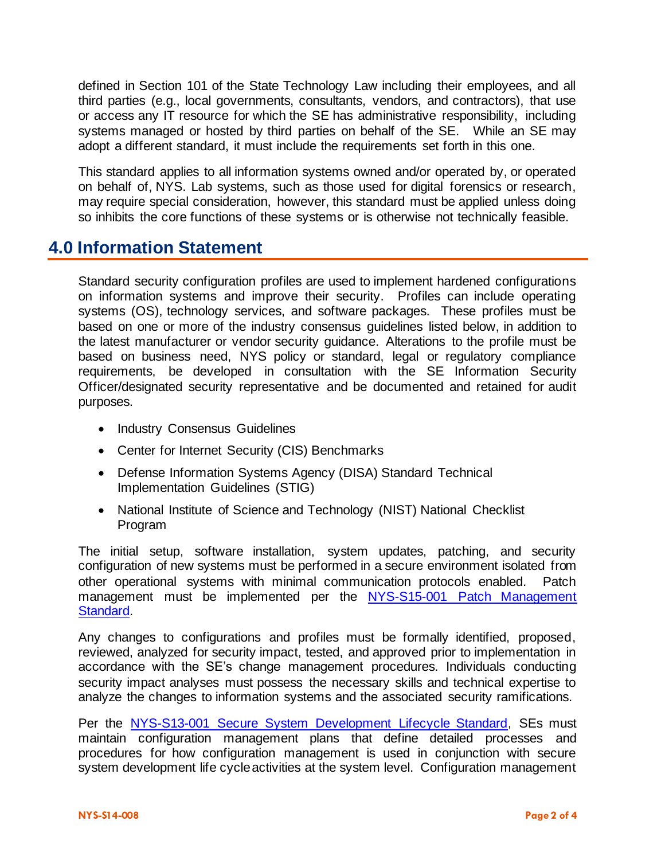defined in Section 101 of the State Technology Law including their employees, and all third parties (e.g., local governments, consultants, vendors, and contractors), that use or access any IT resource for which the SE has administrative responsibility, including systems managed or hosted by third parties on behalf of the SE. While an SE may adopt a different standard, it must include the requirements set forth in this one.

This standard applies to all information systems owned and/or operated by, or operated on behalf of, NYS. Lab systems, such as those used for digital forensics or research, may require special consideration, however, this standard must be applied unless doing so inhibits the core functions of these systems or is otherwise not technically feasible.

## **4.0 Information Statement**

Standard security configuration profiles are used to implement hardened configurations on information systems and improve their security. Profiles can include operating systems (OS), technology services, and software packages. These profiles must be based on one or more of the industry consensus guidelines listed below, in addition to the latest manufacturer or vendor security guidance. Alterations to the profile must be based on business need, NYS policy or standard, legal or regulatory compliance requirements, be developed in consultation with the SE Information Security Officer/designated security representative and be documented and retained for audit purposes.

- Industry Consensus Guidelines
- [Center for Internet Security \(CIS\)](https://www.cisecurity.org/cis-benchmarks/) Benchmarks
- [Defense Information Systems Agency \(DISA\) Standard Technical](https://public.cyber.mil/stigs/)  [Implementation Guidelines \(STIG\)](https://public.cyber.mil/stigs/)
- [National Institute of Science and Technology \(NIST\) National Checklist](https://www.nist.gov/programs-projects/national-checklist-program)  [Program](https://www.nist.gov/programs-projects/national-checklist-program)

The initial setup, software installation, system updates, patching, and security configuration of new systems must be performed in a secure environment isolated from other operational systems with minimal communication protocols enabled. Patch management must be implemented per the NYS-S15-001 Patch Management [Standard.](https://its.ny.gov/document/patch-management) 

Any changes to configurations and profiles must be formally identified, proposed, reviewed, analyzed for security impact, tested, and approved prior to implementation in accordance with the SE's change management procedures. Individuals conducting security impact analyses must possess the necessary skills and technical expertise to analyze the changes to information systems and the associated security ramifications.

Per the [NYS-S13-001 Secure System Development Lifecycle Standard,](https://its.ny.gov/document/secure-system-development-life-cycle-ssdlc-standard) SEs must maintain configuration management plans that define detailed processes and procedures for how configuration management is used in conjunction with secure system development life cycle activities at the system level. Configuration management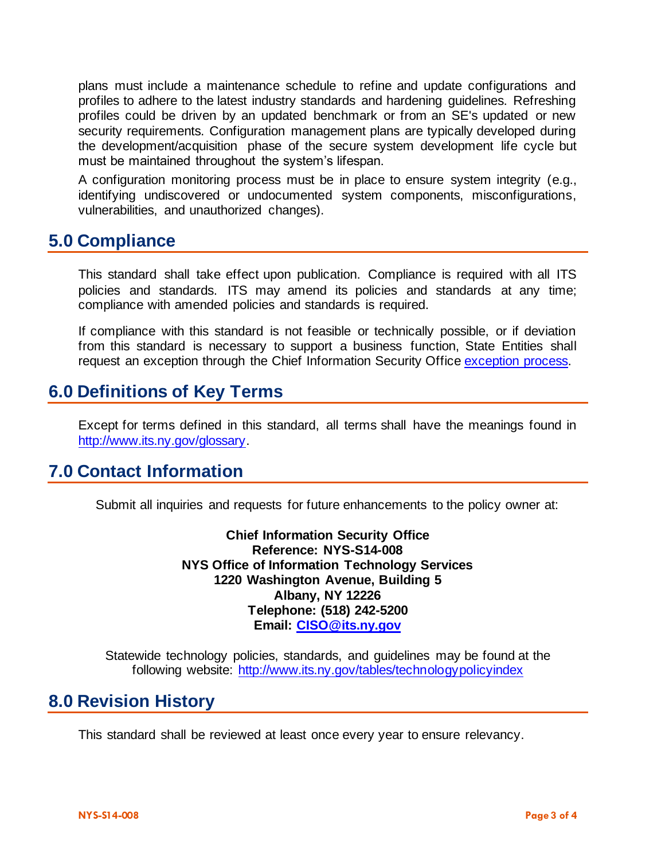plans must include a maintenance schedule to refine and update configurations and profiles to adhere to the latest industry standards and hardening guidelines. Refreshing profiles could be driven by an updated benchmark or from an SE's updated or new security requirements. Configuration management plans are typically developed during the development/acquisition phase of the secure system development life cycle but must be maintained throughout the system's lifespan.

A configuration monitoring process must be in place to ensure system integrity (e.g., identifying undiscovered or undocumented system components, misconfigurations, vulnerabilities, and unauthorized changes).

#### **5.0 Compliance**

This standard shall take effect upon publication. Compliance is required with all ITS policies and standards. ITS may amend its policies and standards at any time; compliance with amended policies and standards is required.

If compliance with this standard is not feasible or technically possible, or if deviation from this standard is necessary to support a business function, State Entities shall request an exception through the Chief Information Security Office [exception](about:blank) process.

## **6.0 Definitions of Key Terms**

Except for terms defined in this standard, all terms shall have the meanings found in [http://www.its.ny.gov/glossary.](http://www.its.ny.gov/glossary)

## **7.0 Contact Information**

Submit all inquiries and requests for future enhancements to the policy owner at:

**Chief Information Security Office Reference: NYS-S14-008 NYS Office of Information Technology Services 1220 Washington Avenue, Building 5 Albany, NY 12226 Telephone: (518) 242-5200 Email: [CISO@its.ny.gov](mailto:CISO@its.ny.gov)**

Statewide technology policies, standards, and guidelines may be found at the following website: <http://www.its.ny.gov/tables/technologypolicyindex>

## **8.0 Revision History**

This standard shall be reviewed at least once every year to ensure relevancy.